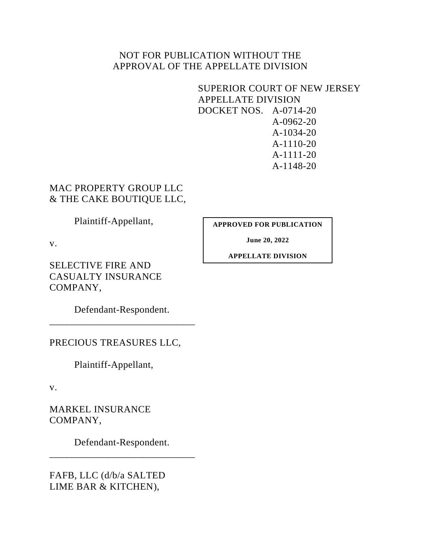## NOT FOR PUBLICATION WITHOUT THE APPROVAL OF THE APPELLATE DIVISION

## SUPERIOR COURT OF NEW JERSEY APPELLATE DIVISION DOCKET NOS. A-0714-20 A-0962-20 A-1034-20 A-1110-20 A-1111-20 A-1148-20

# MAC PROPERTY GROUP LLC & THE CAKE BOUTIQUE LLC,

Plaintiff-Appellant,

**APPROVED FOR PUBLICATION**

**June 20, 2022**

**APPELLATE DIVISION**

SELECTIVE FIRE AND CASUALTY INSURANCE COMPANY,

Defendant-Respondent. \_\_\_\_\_\_\_\_\_\_\_\_\_\_\_\_\_\_\_\_\_\_\_\_\_\_\_\_\_

PRECIOUS TREASURES LLC,

Plaintiff-Appellant,

v.

v.

MARKEL INSURANCE COMPANY,

Defendant-Respondent. \_\_\_\_\_\_\_\_\_\_\_\_\_\_\_\_\_\_\_\_\_\_\_\_\_\_\_\_\_

FAFB, LLC (d/b/a SALTED LIME BAR & KITCHEN),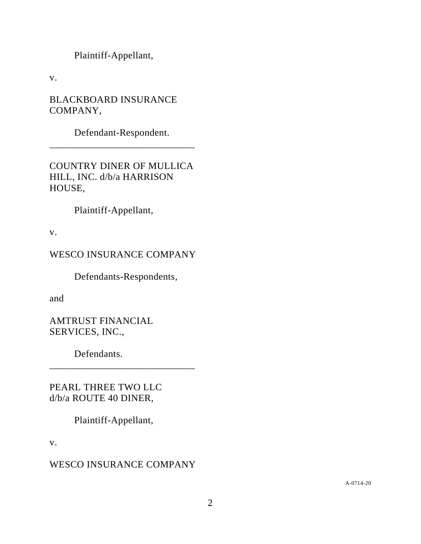Plaintiff-Appellant,

v.

BLACKBOARD INSURANCE COMPANY,

Defendant-Respondent. \_\_\_\_\_\_\_\_\_\_\_\_\_\_\_\_\_\_\_\_\_\_\_\_\_\_\_\_\_

COUNTRY DINER OF MULLICA HILL, INC. d/b/a HARRISON HOUSE,

Plaintiff-Appellant,

v.

WESCO INSURANCE COMPANY

Defendants-Respondents,

and

AMTRUST FINANCIAL SERVICES, INC.,

Defendants.

PEARL THREE TWO LLC d/b/a ROUTE 40 DINER,

Plaintiff-Appellant,

\_\_\_\_\_\_\_\_\_\_\_\_\_\_\_\_\_\_\_\_\_\_\_\_\_\_\_\_\_

v.

# WESCO INSURANCE COMPANY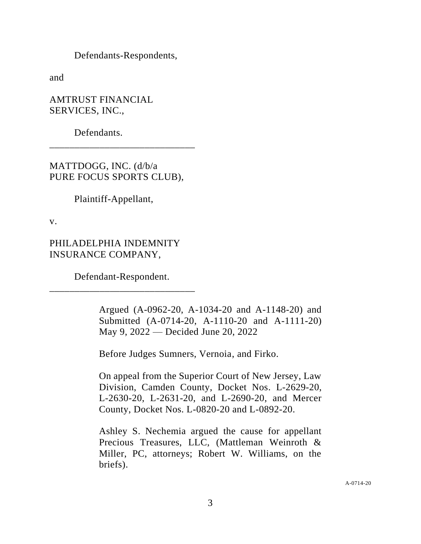Defendants-Respondents,

and

AMTRUST FINANCIAL SERVICES, INC.,

Defendants.

MATTDOGG, INC. (d/b/a PURE FOCUS SPORTS CLUB),

\_\_\_\_\_\_\_\_\_\_\_\_\_\_\_\_\_\_\_\_\_\_\_\_\_\_\_\_\_

Plaintiff-Appellant,

v.

PHILADELPHIA INDEMNITY INSURANCE COMPANY,

Defendant-Respondent. \_\_\_\_\_\_\_\_\_\_\_\_\_\_\_\_\_\_\_\_\_\_\_\_\_\_\_\_\_

> Argued (A-0962-20, A-1034-20 and A-1148-20) and Submitted (A-0714-20, A-1110-20 and A-1111-20) May 9, 2022 — Decided June 20, 2022

Before Judges Sumners, Vernoia, and Firko.

On appeal from the Superior Court of New Jersey, Law Division, Camden County, Docket Nos. L-2629-20, L-2630-20, L-2631-20, and L-2690-20, and Mercer County, Docket Nos. L-0820-20 and L-0892-20.

Ashley S. Nechemia argued the cause for appellant Precious Treasures, LLC, (Mattleman Weinroth & Miller, PC, attorneys; Robert W. Williams, on the briefs).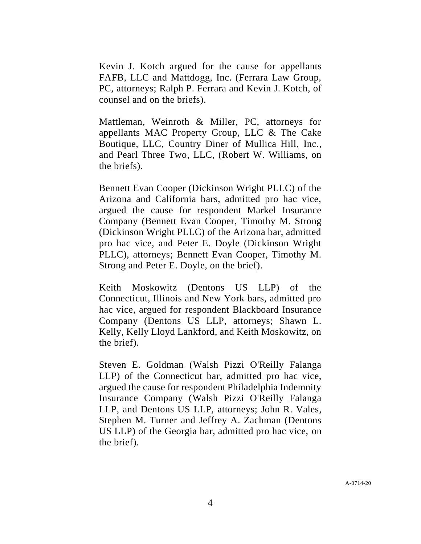Kevin J. Kotch argued for the cause for appellants FAFB, LLC and Mattdogg, Inc. (Ferrara Law Group, PC, attorneys; Ralph P. Ferrara and Kevin J. Kotch, of counsel and on the briefs).

Mattleman, Weinroth & Miller, PC, attorneys for appellants MAC Property Group, LLC & The Cake Boutique, LLC, Country Diner of Mullica Hill, Inc., and Pearl Three Two, LLC, (Robert W. Williams, on the briefs).

Bennett Evan Cooper (Dickinson Wright PLLC) of the Arizona and California bars, admitted pro hac vice, argued the cause for respondent Markel Insurance Company (Bennett Evan Cooper, Timothy M. Strong (Dickinson Wright PLLC) of the Arizona bar, admitted pro hac vice, and Peter E. Doyle (Dickinson Wright PLLC), attorneys; Bennett Evan Cooper, Timothy M. Strong and Peter E. Doyle, on the brief).

Keith Moskowitz (Dentons US LLP) of the Connecticut, Illinois and New York bars, admitted pro hac vice, argued for respondent Blackboard Insurance Company (Dentons US LLP, attorneys; Shawn L. Kelly, Kelly Lloyd Lankford, and Keith Moskowitz, on the brief).

Steven E. Goldman (Walsh Pizzi O'Reilly Falanga LLP) of the Connecticut bar, admitted pro hac vice, argued the cause for respondent Philadelphia Indemnity Insurance Company (Walsh Pizzi O'Reilly Falanga LLP, and Dentons US LLP, attorneys; John R. Vales, Stephen M. Turner and Jeffrey A. Zachman (Dentons US LLP) of the Georgia bar, admitted pro hac vice, on the brief).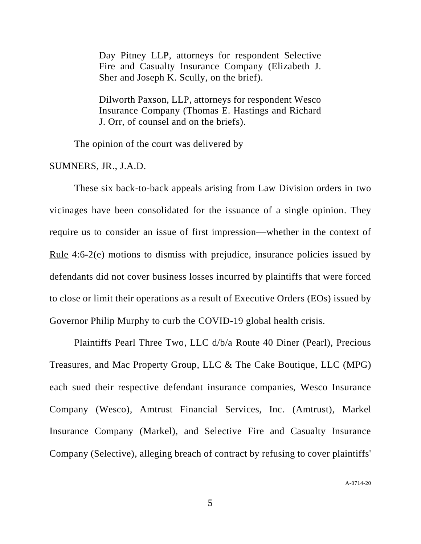Day Pitney LLP, attorneys for respondent Selective Fire and Casualty Insurance Company (Elizabeth J. Sher and Joseph K. Scully, on the brief).

Dilworth Paxson, LLP, attorneys for respondent Wesco Insurance Company (Thomas E. Hastings and Richard J. Orr, of counsel and on the briefs).

The opinion of the court was delivered by

SUMNERS, JR., J.A.D.

These six back-to-back appeals arising from Law Division orders in two vicinages have been consolidated for the issuance of a single opinion. They require us to consider an issue of first impression––whether in the context of Rule 4:6-2(e) motions to dismiss with prejudice, insurance policies issued by defendants did not cover business losses incurred by plaintiffs that were forced to close or limit their operations as a result of Executive Orders (EOs) issued by Governor Philip Murphy to curb the COVID-19 global health crisis.

Plaintiffs Pearl Three Two, LLC d/b/a Route 40 Diner (Pearl), Precious Treasures, and Mac Property Group, LLC & The Cake Boutique, LLC (MPG) each sued their respective defendant insurance companies, Wesco Insurance Company (Wesco), Amtrust Financial Services, Inc. (Amtrust), Markel Insurance Company (Markel), and Selective Fire and Casualty Insurance Company (Selective), alleging breach of contract by refusing to cover plaintiffs'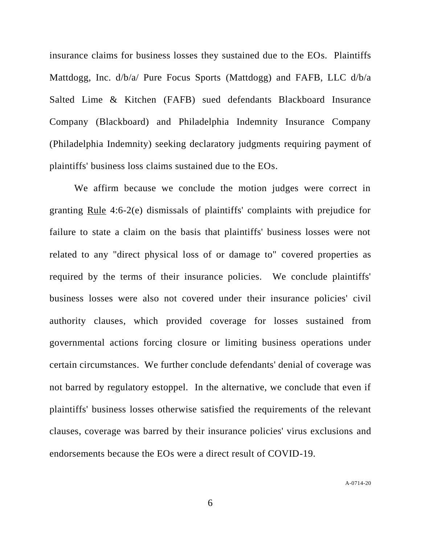insurance claims for business losses they sustained due to the EOs. Plaintiffs Mattdogg, Inc. d/b/a/ Pure Focus Sports (Mattdogg) and FAFB, LLC d/b/a Salted Lime & Kitchen (FAFB) sued defendants Blackboard Insurance Company (Blackboard) and Philadelphia Indemnity Insurance Company (Philadelphia Indemnity) seeking declaratory judgments requiring payment of plaintiffs' business loss claims sustained due to the EOs.

We affirm because we conclude the motion judges were correct in granting Rule 4:6-2(e) dismissals of plaintiffs' complaints with prejudice for failure to state a claim on the basis that plaintiffs' business losses were not related to any "direct physical loss of or damage to" covered properties as required by the terms of their insurance policies. We conclude plaintiffs' business losses were also not covered under their insurance policies' civil authority clauses, which provided coverage for losses sustained from governmental actions forcing closure or limiting business operations under certain circumstances. We further conclude defendants' denial of coverage was not barred by regulatory estoppel. In the alternative, we conclude that even if plaintiffs' business losses otherwise satisfied the requirements of the relevant clauses, coverage was barred by their insurance policies' virus exclusions and endorsements because the EOs were a direct result of COVID-19.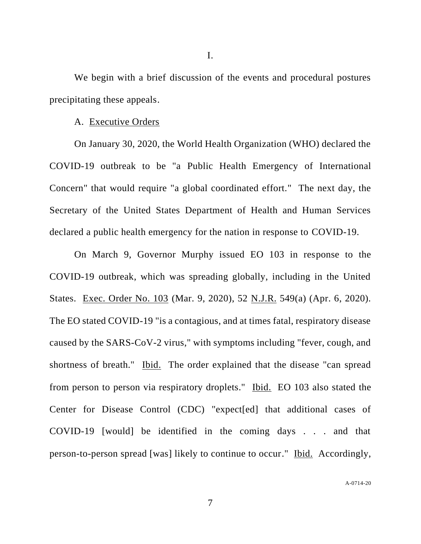We begin with a brief discussion of the events and procedural postures precipitating these appeals.

#### A. Executive Orders

On January 30, 2020, the World Health Organization (WHO) declared the COVID-19 outbreak to be "a Public Health Emergency of International Concern" that would require "a global coordinated effort." The next day, the Secretary of the United States Department of Health and Human Services declared a public health emergency for the nation in response to COVID-19.

On March 9, Governor Murphy issued EO 103 in response to the COVID-19 outbreak, which was spreading globally, including in the United States. Exec. Order No. 103 (Mar. 9, 2020), 52 N.J.R. 549(a) (Apr. 6, 2020). The EO stated COVID-19 "is a contagious, and at times fatal, respiratory disease caused by the SARS-CoV-2 virus," with symptoms including "fever, cough, and shortness of breath." Ibid. The order explained that the disease "can spread from person to person via respiratory droplets." Ibid. EO 103 also stated the Center for Disease Control (CDC) "expect[ed] that additional cases of COVID-19 [would] be identified in the coming days . . . and that person-to-person spread [was] likely to continue to occur." Ibid. Accordingly,

A-0714-20

I.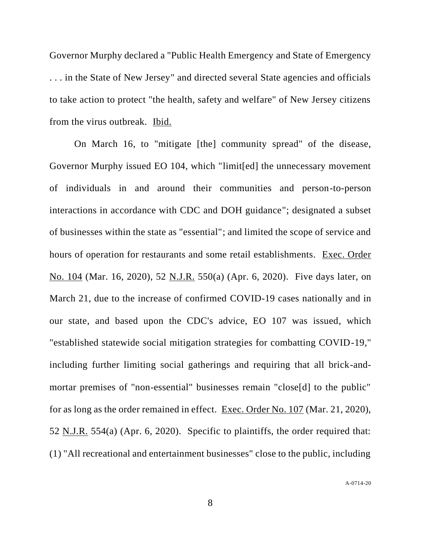Governor Murphy declared a "Public Health Emergency and State of Emergency . . . in the State of New Jersey" and directed several State agencies and officials to take action to protect "the health, safety and welfare" of New Jersey citizens from the virus outbreak. Ibid.

On March 16, to "mitigate [the] community spread" of the disease, Governor Murphy issued EO 104, which "limit[ed] the unnecessary movement of individuals in and around their communities and person-to-person interactions in accordance with CDC and DOH guidance"; designated a subset of businesses within the state as "essential"; and limited the scope of service and hours of operation for restaurants and some retail establishments. Exec. Order No. 104 (Mar. 16, 2020), 52 N.J.R. 550(a) (Apr. 6, 2020). Five days later, on March 21, due to the increase of confirmed COVID-19 cases nationally and in our state, and based upon the CDC's advice, EO 107 was issued, which "established statewide social mitigation strategies for combatting COVID-19," including further limiting social gatherings and requiring that all brick-andmortar premises of "non-essential" businesses remain "close[d] to the public" for as long as the order remained in effect. Exec. Order No. 107 (Mar. 21, 2020), 52 N.J.R. 554(a) (Apr. 6, 2020). Specific to plaintiffs, the order required that: (1) "All recreational and entertainment businesses" close to the public, including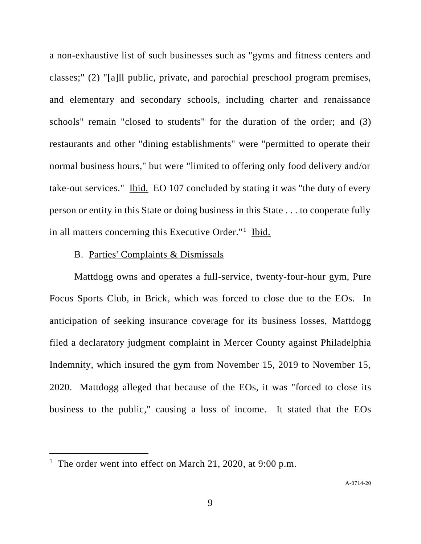a non-exhaustive list of such businesses such as "gyms and fitness centers and classes;" (2) "[a]ll public, private, and parochial preschool program premises, and elementary and secondary schools, including charter and renaissance schools" remain "closed to students" for the duration of the order; and (3) restaurants and other "dining establishments" were "permitted to operate their normal business hours," but were "limited to offering only food delivery and/or take-out services." Ibid. EO 107 concluded by stating it was "the duty of every person or entity in this State or doing business in this State . . . to cooperate fully in all matters concerning this Executive Order."<sup>1</sup> Ibid.

### B. Parties' Complaints & Dismissals

Mattdogg owns and operates a full-service, twenty-four-hour gym, Pure Focus Sports Club, in Brick, which was forced to close due to the EOs. In anticipation of seeking insurance coverage for its business losses, Mattdogg filed a declaratory judgment complaint in Mercer County against Philadelphia Indemnity, which insured the gym from November 15, 2019 to November 15, 2020. Mattdogg alleged that because of the EOs, it was "forced to close its business to the public," causing a loss of income. It stated that the EOs

<sup>&</sup>lt;sup>1</sup> The order went into effect on March 21, 2020, at 9:00 p.m.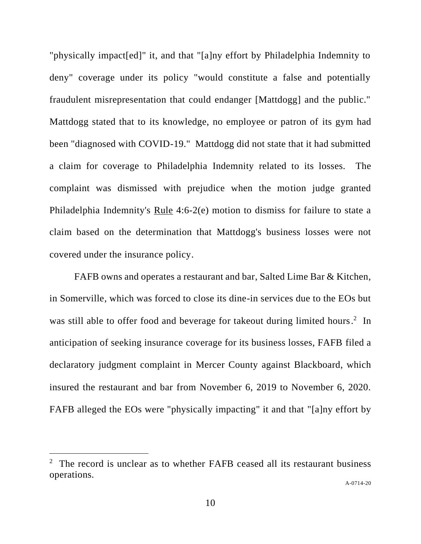"physically impact[ed]" it, and that "[a]ny effort by Philadelphia Indemnity to deny" coverage under its policy "would constitute a false and potentially fraudulent misrepresentation that could endanger [Mattdogg] and the public." Mattdogg stated that to its knowledge, no employee or patron of its gym had been "diagnosed with COVID-19." Mattdogg did not state that it had submitted a claim for coverage to Philadelphia Indemnity related to its losses. The complaint was dismissed with prejudice when the motion judge granted Philadelphia Indemnity's Rule 4:6-2(e) motion to dismiss for failure to state a claim based on the determination that Mattdogg's business losses were not covered under the insurance policy.

FAFB owns and operates a restaurant and bar, Salted Lime Bar & Kitchen, in Somerville, which was forced to close its dine-in services due to the EOs but was still able to offer food and beverage for takeout during limited hours.<sup>2</sup> In anticipation of seeking insurance coverage for its business losses, FAFB filed a declaratory judgment complaint in Mercer County against Blackboard, which insured the restaurant and bar from November 6, 2019 to November 6, 2020. FAFB alleged the EOs were "physically impacting" it and that "[a]ny effort by

<sup>&</sup>lt;sup>2</sup> The record is unclear as to whether FAFB ceased all its restaurant business operations.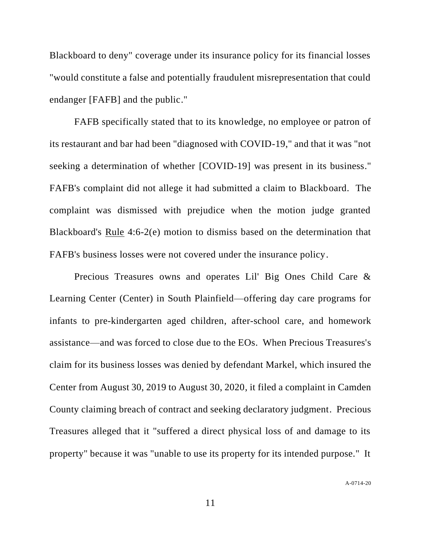Blackboard to deny" coverage under its insurance policy for its financial losses "would constitute a false and potentially fraudulent misrepresentation that could endanger [FAFB] and the public."

FAFB specifically stated that to its knowledge, no employee or patron of its restaurant and bar had been "diagnosed with COVID-19," and that it was "not seeking a determination of whether [COVID-19] was present in its business." FAFB's complaint did not allege it had submitted a claim to Blackboard. The complaint was dismissed with prejudice when the motion judge granted Blackboard's Rule 4:6-2(e) motion to dismiss based on the determination that FAFB's business losses were not covered under the insurance policy.

Precious Treasures owns and operates Lil' Big Ones Child Care & Learning Center (Center) in South Plainfield—offering day care programs for infants to pre-kindergarten aged children, after-school care, and homework assistance—and was forced to close due to the EOs. When Precious Treasures's claim for its business losses was denied by defendant Markel, which insured the Center from August 30, 2019 to August 30, 2020, it filed a complaint in Camden County claiming breach of contract and seeking declaratory judgment. Precious Treasures alleged that it "suffered a direct physical loss of and damage to its property" because it was "unable to use its property for its intended purpose." It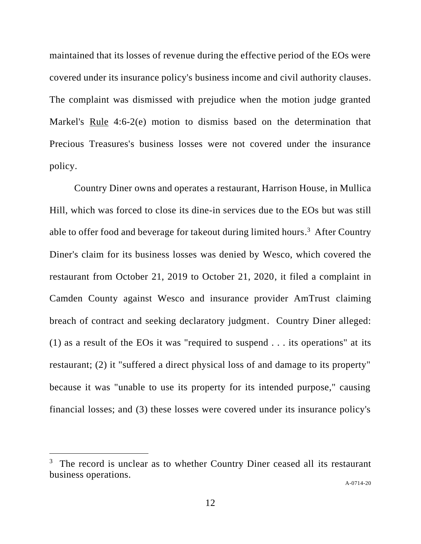maintained that its losses of revenue during the effective period of the EOs were covered under its insurance policy's business income and civil authority clauses. The complaint was dismissed with prejudice when the motion judge granted Markel's Rule 4:6-2(e) motion to dismiss based on the determination that Precious Treasures's business losses were not covered under the insurance policy.

Country Diner owns and operates a restaurant, Harrison House, in Mullica Hill, which was forced to close its dine-in services due to the EOs but was still able to offer food and beverage for takeout during limited hours.<sup>3</sup> After Country Diner's claim for its business losses was denied by Wesco, which covered the restaurant from October 21, 2019 to October 21, 2020, it filed a complaint in Camden County against Wesco and insurance provider AmTrust claiming breach of contract and seeking declaratory judgment. Country Diner alleged: (1) as a result of the EOs it was "required to suspend . . . its operations" at its restaurant; (2) it "suffered a direct physical loss of and damage to its property" because it was "unable to use its property for its intended purpose," causing financial losses; and (3) these losses were covered under its insurance policy's

<sup>&</sup>lt;sup>3</sup> The record is unclear as to whether Country Diner ceased all its restaurant business operations.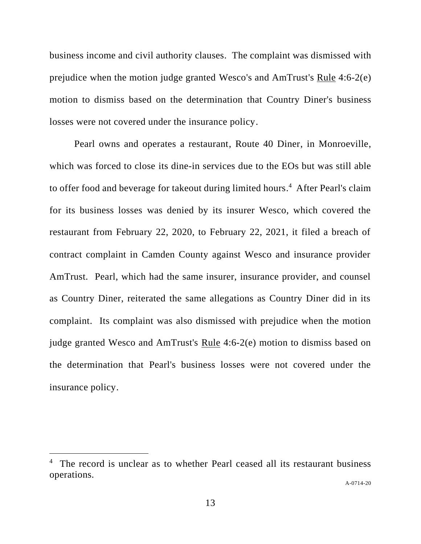business income and civil authority clauses. The complaint was dismissed with prejudice when the motion judge granted Wesco's and AmTrust's Rule 4:6-2(e) motion to dismiss based on the determination that Country Diner's business losses were not covered under the insurance policy.

Pearl owns and operates a restaurant, Route 40 Diner, in Monroeville, which was forced to close its dine-in services due to the EOs but was still able to offer food and beverage for takeout during limited hours. 4 After Pearl's claim for its business losses was denied by its insurer Wesco, which covered the restaurant from February 22, 2020, to February 22, 2021, it filed a breach of contract complaint in Camden County against Wesco and insurance provider AmTrust. Pearl, which had the same insurer, insurance provider, and counsel as Country Diner, reiterated the same allegations as Country Diner did in its complaint. Its complaint was also dismissed with prejudice when the motion judge granted Wesco and AmTrust's Rule 4:6-2(e) motion to dismiss based on the determination that Pearl's business losses were not covered under the insurance policy.

<sup>&</sup>lt;sup>4</sup> The record is unclear as to whether Pearl ceased all its restaurant business operations.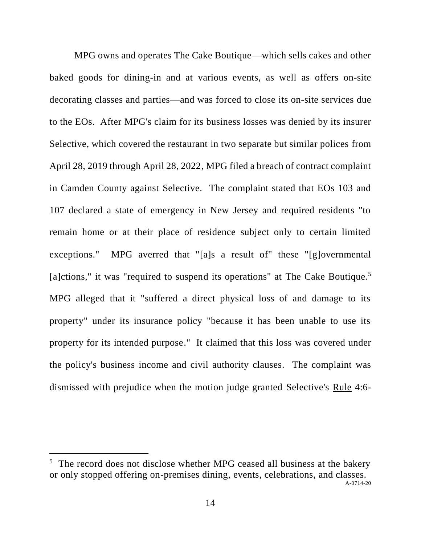MPG owns and operates The Cake Boutique—which sells cakes and other baked goods for dining-in and at various events, as well as offers on-site decorating classes and parties—and was forced to close its on-site services due to the EOs. After MPG's claim for its business losses was denied by its insurer Selective, which covered the restaurant in two separate but similar polices from April 28, 2019 through April 28, 2022, MPG filed a breach of contract complaint in Camden County against Selective. The complaint stated that EOs 103 and 107 declared a state of emergency in New Jersey and required residents "to remain home or at their place of residence subject only to certain limited exceptions." MPG averred that "[a]s a result of" these "[g]overnmental [a]ctions," it was "required to suspend its operations" at The Cake Boutique.<sup>5</sup> MPG alleged that it "suffered a direct physical loss of and damage to its property" under its insurance policy "because it has been unable to use its property for its intended purpose." It claimed that this loss was covered under the policy's business income and civil authority clauses. The complaint was dismissed with prejudice when the motion judge granted Selective's Rule 4:6-

A-0714-20 <sup>5</sup> The record does not disclose whether MPG ceased all business at the bakery or only stopped offering on-premises dining, events, celebrations, and classes.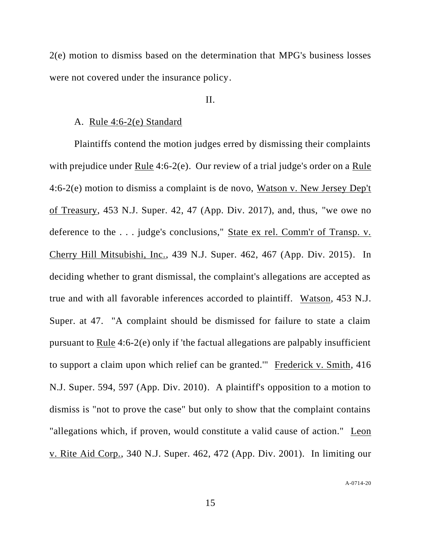2(e) motion to dismiss based on the determination that MPG's business losses were not covered under the insurance policy.

## II.

#### A. Rule 4:6-2(e) Standard

Plaintiffs contend the motion judges erred by dismissing their complaints with prejudice under Rule 4:6-2(e). Our review of a trial judge's order on a Rule 4:6-2(e) motion to dismiss a complaint is de novo, Watson v. New Jersey Dep't of Treasury, 453 N.J. Super. 42, 47 (App. Div. 2017), and, thus, "we owe no deference to the . . . judge's conclusions," State ex rel. Comm'r of Transp. v. Cherry Hill Mitsubishi, Inc., 439 N.J. Super. 462, 467 (App. Div. 2015). In deciding whether to grant dismissal, the complaint's allegations are accepted as true and with all favorable inferences accorded to plaintiff. Watson, 453 N.J. Super. at 47. "A complaint should be dismissed for failure to state a claim pursuant to Rule 4:6-2(e) only if 'the factual allegations are palpably insufficient to support a claim upon which relief can be granted.'" Frederick v. Smith, 416 N.J. Super. 594, 597 (App. Div. 2010). A plaintiff's opposition to a motion to dismiss is "not to prove the case" but only to show that the complaint contains "allegations which, if proven, would constitute a valid cause of action." Leon v. Rite Aid Corp., 340 N.J. Super. 462, 472 (App. Div. 2001). In limiting our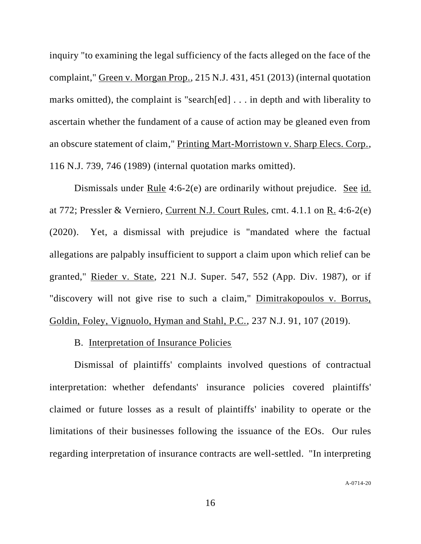inquiry "to examining the legal sufficiency of the facts alleged on the face of the complaint," Green v. Morgan Prop., 215 N.J. 431, 451 (2013) (internal quotation marks omitted), the complaint is "search[ed] . . . in depth and with liberality to ascertain whether the fundament of a cause of action may be gleaned even from an obscure statement of claim," Printing Mart-Morristown v. Sharp Elecs. Corp., 116 N.J. 739, 746 (1989) (internal quotation marks omitted).

Dismissals under Rule 4:6-2(e) are ordinarily without prejudice. See id. at 772; Pressler & Verniero, Current N.J. Court Rules, cmt. 4.1.1 on R. 4:6-2(e) (2020). Yet, a dismissal with prejudice is "mandated where the factual allegations are palpably insufficient to support a claim upon which relief can be granted," Rieder v. State, 221 N.J. Super. 547, 552 (App. Div. 1987), or if "discovery will not give rise to such a claim," Dimitrakopoulos v. Borrus, Goldin, Foley, Vignuolo, Hyman and Stahl, P.C., 237 N.J. 91, 107 (2019).

#### B. Interpretation of Insurance Policies

Dismissal of plaintiffs' complaints involved questions of contractual interpretation: whether defendants' insurance policies covered plaintiffs' claimed or future losses as a result of plaintiffs' inability to operate or the limitations of their businesses following the issuance of the EOs. Our rules regarding interpretation of insurance contracts are well-settled. "In interpreting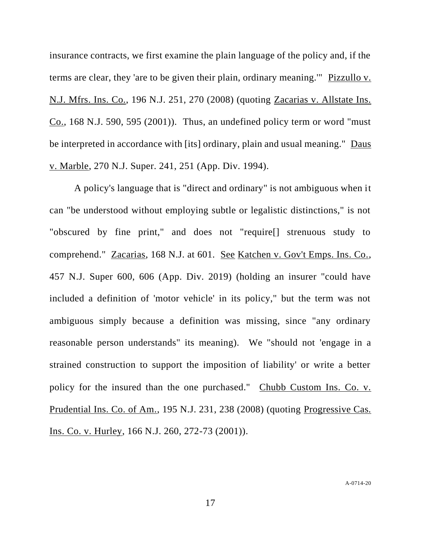insurance contracts, we first examine the plain language of the policy and, if the terms are clear, they 'are to be given their plain, ordinary meaning.'" Pizzullo v. N.J. Mfrs. Ins. Co., 196 N.J. 251, 270 (2008) (quoting Zacarias v. Allstate Ins. Co., 168 N.J. 590, 595 (2001)). Thus, an undefined policy term or word "must be interpreted in accordance with [its] ordinary, plain and usual meaning." Daus v. Marble, 270 N.J. Super. 241, 251 (App. Div. 1994).

A policy's language that is "direct and ordinary" is not ambiguous when it can "be understood without employing subtle or legalistic distinctions," is not "obscured by fine print," and does not "require[] strenuous study to comprehend." Zacarias, 168 N.J. at 601. See Katchen v. Gov't Emps. Ins. Co., 457 N.J. Super 600, 606 (App. Div. 2019) (holding an insurer "could have included a definition of 'motor vehicle' in its policy," but the term was not ambiguous simply because a definition was missing, since "any ordinary reasonable person understands" its meaning). We "should not 'engage in a strained construction to support the imposition of liability' or write a better policy for the insured than the one purchased." Chubb Custom Ins. Co. v. Prudential Ins. Co. of Am., 195 N.J. 231, 238 (2008) (quoting Progressive Cas. Ins. Co. v. Hurley, 166 N.J. 260, 272-73 (2001)).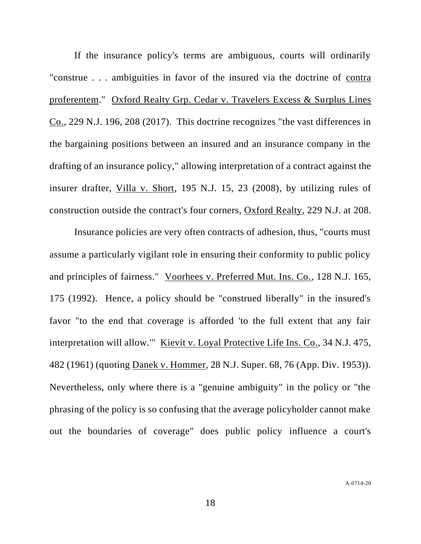If the insurance policy's terms are ambiguous, courts will ordinarily "construe . . . ambiguities in favor of the insured via the doctrine of contra proferentem." Oxford Realty Grp. Cedar v. Travelers Excess & Surplus Lines Co., 229 N.J. 196, 208 (2017). This doctrine recognizes "the vast differences in the bargaining positions between an insured and an insurance company in the drafting of an insurance policy," allowing interpretation of a contract against the insurer drafter, Villa v. Short, 195 N.J. 15, 23 (2008), by utilizing rules of construction outside the contract's four corners, Oxford Realty, 229 N.J. at 208.

Insurance policies are very often contracts of adhesion, thus, "courts must assume a particularly vigilant role in ensuring their conformity to public policy and principles of fairness." Voorhees v. Preferred Mut. Ins. Co., 128 N.J. 165, 175 (1992). Hence, a policy should be "construed liberally" in the insured's favor "to the end that coverage is afforded 'to the full extent that any fair interpretation will allow.'" Kievit v. Loyal Protective Life Ins. Co., 34 N.J. 475, 482 (1961) (quoting Danek v. Hommer, 28 N.J. Super. 68, 76 (App. Div. 1953)). Nevertheless, only where there is a "genuine ambiguity" in the policy or "the phrasing of the policy is so confusing that the average policyholder cannot make out the boundaries of coverage" does public policy influence a court's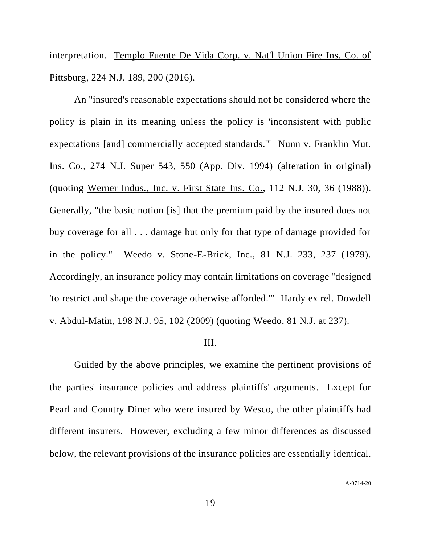interpretation. Templo Fuente De Vida Corp. v. Nat'l Union Fire Ins. Co. of Pittsburg, 224 N.J. 189, 200 (2016).

An "insured's reasonable expectations should not be considered where the policy is plain in its meaning unless the policy is 'inconsistent with public expectations [and] commercially accepted standards.'" Nunn v. Franklin Mut. Ins. Co., 274 N.J. Super 543, 550 (App. Div. 1994) (alteration in original) (quoting Werner Indus., Inc. v. First State Ins. Co., 112 N.J. 30, 36 (1988)). Generally, "the basic notion [is] that the premium paid by the insured does not buy coverage for all . . . damage but only for that type of damage provided for in the policy." Weedo v. Stone-E-Brick, Inc., 81 N.J. 233, 237 (1979). Accordingly, an insurance policy may contain limitations on coverage "designed 'to restrict and shape the coverage otherwise afforded.'" Hardy ex rel. Dowdell v. Abdul-Matin, 198 N.J. 95, 102 (2009) (quoting Weedo, 81 N.J. at 237).

## III.

Guided by the above principles, we examine the pertinent provisions of the parties' insurance policies and address plaintiffs' arguments. Except for Pearl and Country Diner who were insured by Wesco, the other plaintiffs had different insurers. However, excluding a few minor differences as discussed below, the relevant provisions of the insurance policies are essentially identical.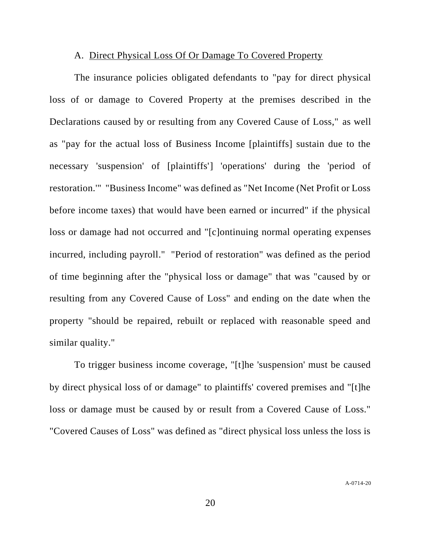#### A. Direct Physical Loss Of Or Damage To Covered Property

The insurance policies obligated defendants to "pay for direct physical loss of or damage to Covered Property at the premises described in the Declarations caused by or resulting from any Covered Cause of Loss," as well as "pay for the actual loss of Business Income [plaintiffs] sustain due to the necessary 'suspension' of [plaintiffs'] 'operations' during the 'period of restoration.'" "Business Income" was defined as "Net Income (Net Profit or Loss before income taxes) that would have been earned or incurred" if the physical loss or damage had not occurred and "[c]ontinuing normal operating expenses incurred, including payroll." "Period of restoration" was defined as the period of time beginning after the "physical loss or damage" that was "caused by or resulting from any Covered Cause of Loss" and ending on the date when the property "should be repaired, rebuilt or replaced with reasonable speed and similar quality."

To trigger business income coverage, "[t]he 'suspension' must be caused by direct physical loss of or damage" to plaintiffs' covered premises and "[t]he loss or damage must be caused by or result from a Covered Cause of Loss." "Covered Causes of Loss" was defined as "direct physical loss unless the loss is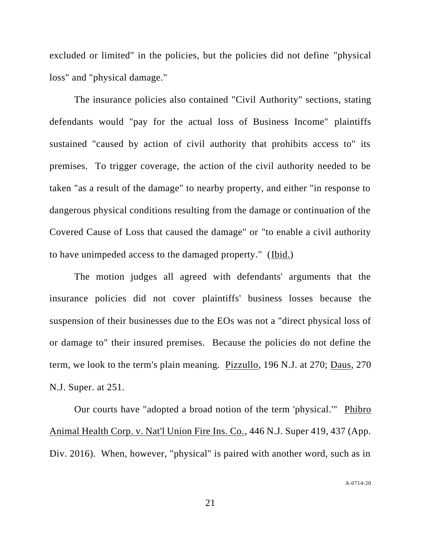excluded or limited" in the policies, but the policies did not define "physical loss" and "physical damage."

The insurance policies also contained "Civil Authority" sections, stating defendants would "pay for the actual loss of Business Income" plaintiffs sustained "caused by action of civil authority that prohibits access to" its premises. To trigger coverage, the action of the civil authority needed to be taken "as a result of the damage" to nearby property, and either "in response to dangerous physical conditions resulting from the damage or continuation of the Covered Cause of Loss that caused the damage" or "to enable a civil authority to have unimpeded access to the damaged property." (Ibid.)

The motion judges all agreed with defendants' arguments that the insurance policies did not cover plaintiffs' business losses because the suspension of their businesses due to the EOs was not a "direct physical loss of or damage to" their insured premises. Because the policies do not define the term, we look to the term's plain meaning. Pizzullo, 196 N.J. at 270; Daus, 270 N.J. Super. at 251.

Our courts have "adopted a broad notion of the term 'physical.'" Phibro Animal Health Corp. v. Nat'l Union Fire Ins. Co., 446 N.J. Super 419, 437 (App. Div. 2016). When, however, "physical" is paired with another word, such as in

A-0714-20

21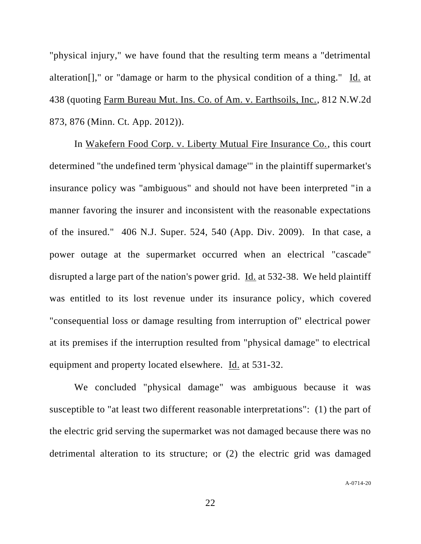"physical injury," we have found that the resulting term means a "detrimental alteration[]," or "damage or harm to the physical condition of a thing." Id. at 438 (quoting Farm Bureau Mut. Ins. Co. of Am. v. Earthsoils, Inc., 812 N.W.2d 873, 876 (Minn. Ct. App. 2012)).

In Wakefern Food Corp. v. Liberty Mutual Fire Insurance Co., this court determined "the undefined term 'physical damage'" in the plaintiff supermarket's insurance policy was "ambiguous" and should not have been interpreted "in a manner favoring the insurer and inconsistent with the reasonable expectations of the insured." 406 N.J. Super. 524, 540 (App. Div. 2009). In that case, a power outage at the supermarket occurred when an electrical "cascade" disrupted a large part of the nation's power grid. Id. at 532-38. We held plaintiff was entitled to its lost revenue under its insurance policy, which covered "consequential loss or damage resulting from interruption of" electrical power at its premises if the interruption resulted from "physical damage" to electrical equipment and property located elsewhere. Id. at 531-32.

We concluded "physical damage" was ambiguous because it was susceptible to "at least two different reasonable interpretations": (1) the part of the electric grid serving the supermarket was not damaged because there was no detrimental alteration to its structure; or (2) the electric grid was damaged

A-0714-20

22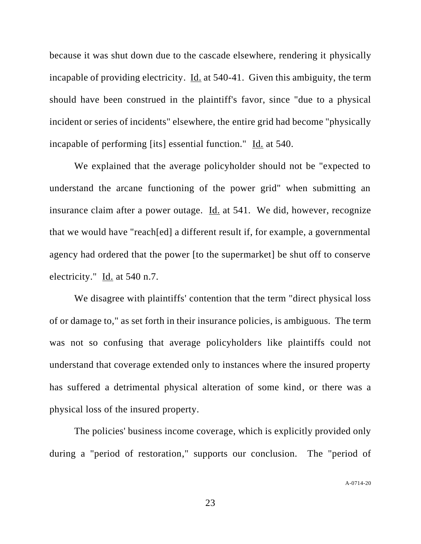because it was shut down due to the cascade elsewhere, rendering it physically incapable of providing electricity. Id. at 540-41. Given this ambiguity, the term should have been construed in the plaintiff's favor, since "due to a physical incident or series of incidents" elsewhere, the entire grid had become "physically incapable of performing [its] essential function." Id. at 540.

We explained that the average policyholder should not be "expected to understand the arcane functioning of the power grid" when submitting an insurance claim after a power outage. Id. at 541. We did, however, recognize that we would have "reach[ed] a different result if, for example, a governmental agency had ordered that the power [to the supermarket] be shut off to conserve electricity." Id. at 540 n.7.

We disagree with plaintiffs' contention that the term "direct physical loss of or damage to," as set forth in their insurance policies, is ambiguous. The term was not so confusing that average policyholders like plaintiffs could not understand that coverage extended only to instances where the insured property has suffered a detrimental physical alteration of some kind, or there was a physical loss of the insured property.

The policies' business income coverage, which is explicitly provided only during a "period of restoration," supports our conclusion. The "period of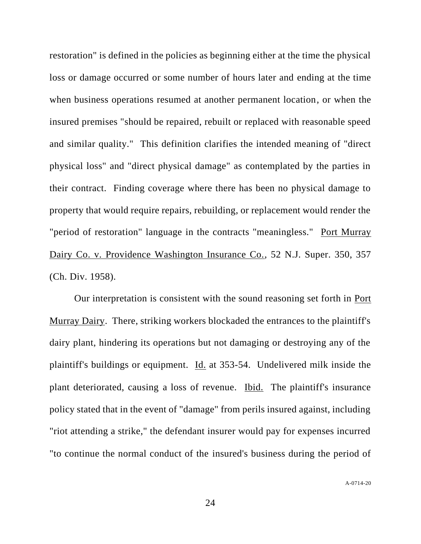restoration" is defined in the policies as beginning either at the time the physical loss or damage occurred or some number of hours later and ending at the time when business operations resumed at another permanent location, or when the insured premises "should be repaired, rebuilt or replaced with reasonable speed and similar quality." This definition clarifies the intended meaning of "direct physical loss" and "direct physical damage" as contemplated by the parties in their contract. Finding coverage where there has been no physical damage to property that would require repairs, rebuilding, or replacement would render the "period of restoration" language in the contracts "meaningless." Port Murray Dairy Co. v. Providence Washington Insurance Co., 52 N.J. Super. 350, 357 (Ch. Div. 1958).

Our interpretation is consistent with the sound reasoning set forth in Port Murray Dairy. There, striking workers blockaded the entrances to the plaintiff's dairy plant, hindering its operations but not damaging or destroying any of the plaintiff's buildings or equipment. Id. at 353-54. Undelivered milk inside the plant deteriorated, causing a loss of revenue. Ibid. The plaintiff's insurance policy stated that in the event of "damage" from perils insured against, including "riot attending a strike," the defendant insurer would pay for expenses incurred "to continue the normal conduct of the insured's business during the period of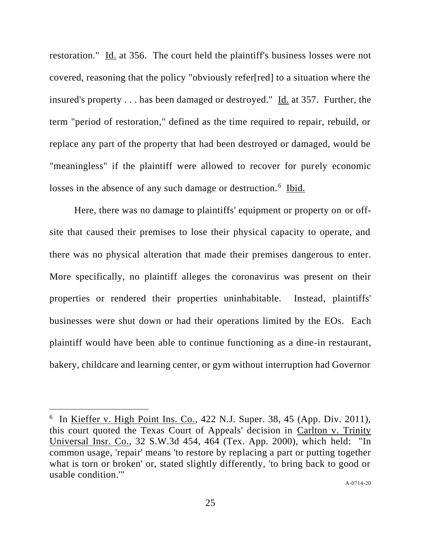restoration." Id. at 356. The court held the plaintiff's business losses were not covered, reasoning that the policy "obviously refer[red] to a situation where the insured's property . . . has been damaged or destroyed." Id. at 357. Further, the term "period of restoration," defined as the time required to repair, rebuild, or replace any part of the property that had been destroyed or damaged, would be "meaningless" if the plaintiff were allowed to recover for purely economic losses in the absence of any such damage or destruction.<sup>6</sup> Ibid.

Here, there was no damage to plaintiffs' equipment or property on or offsite that caused their premises to lose their physical capacity to operate, and there was no physical alteration that made their premises dangerous to enter. More specifically, no plaintiff alleges the coronavirus was present on their properties or rendered their properties uninhabitable. Instead, plaintiffs' businesses were shut down or had their operations limited by the EOs. Each plaintiff would have been able to continue functioning as a dine-in restaurant, bakery, childcare and learning center, or gym without interruption had Governor

 $6$  In <u>Kieffer v. High Point Ins. Co.</u>, 422 N.J. Super. 38, 45 (App. Div. 2011), this court quoted the Texas Court of Appeals' decision in Carlton v. Trinity Universal Insr. Co., 32 S.W.3d 454, 464 (Tex. App. 2000), which held: "In common usage, 'repair' means 'to restore by replacing a part or putting together what is torn or broken' or, stated slightly differently, 'to bring back to good or usable condition.'"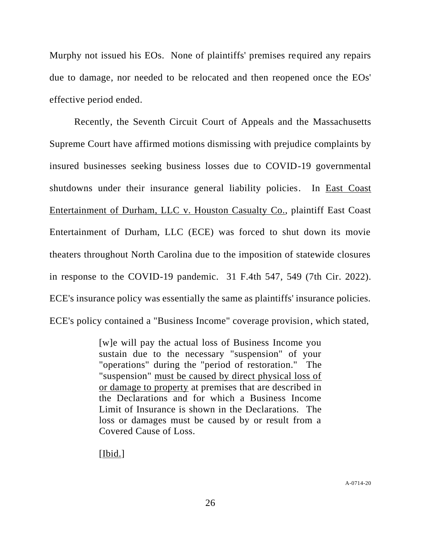Murphy not issued his EOs. None of plaintiffs' premises required any repairs due to damage, nor needed to be relocated and then reopened once the EOs' effective period ended.

Recently, the Seventh Circuit Court of Appeals and the Massachusetts Supreme Court have affirmed motions dismissing with prejudice complaints by insured businesses seeking business losses due to COVID-19 governmental shutdowns under their insurance general liability policies. In **East Coast** Entertainment of Durham, LLC v. Houston Casualty Co., plaintiff East Coast Entertainment of Durham, LLC (ECE) was forced to shut down its movie theaters throughout North Carolina due to the imposition of statewide closures in response to the COVID-19 pandemic. 31 F.4th 547, 549 (7th Cir. 2022). ECE's insurance policy was essentially the same as plaintiffs' insurance policies. ECE's policy contained a "Business Income" coverage provision, which stated,

> [w]e will pay the actual loss of Business Income you sustain due to the necessary "suspension" of your "operations" during the "period of restoration." The "suspension" must be caused by direct physical loss of or damage to property at premises that are described in the Declarations and for which a Business Income Limit of Insurance is shown in the Declarations. The loss or damages must be caused by or result from a Covered Cause of Loss.

[Ibid.]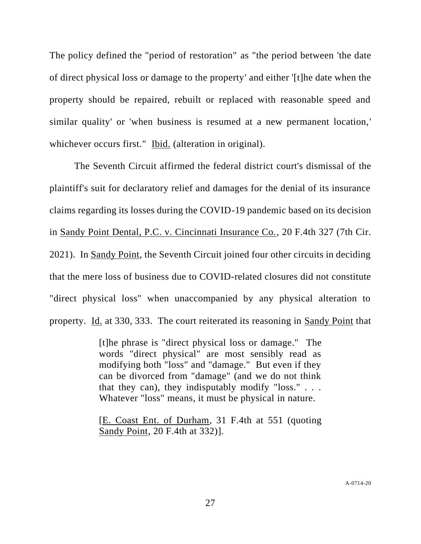The policy defined the "period of restoration" as "the period between 'the date of direct physical loss or damage to the property' and either '[t]he date when the property should be repaired, rebuilt or replaced with reasonable speed and similar quality' or 'when business is resumed at a new permanent location,' whichever occurs first." Ibid. (alteration in original).

The Seventh Circuit affirmed the federal district court's dismissal of the plaintiff's suit for declaratory relief and damages for the denial of its insurance claims regarding its losses during the COVID-19 pandemic based on its decision in Sandy Point Dental, P.C. v. Cincinnati Insurance Co., 20 F.4th 327 (7th Cir. 2021). In Sandy Point, the Seventh Circuit joined four other circuits in deciding that the mere loss of business due to COVID-related closures did not constitute "direct physical loss" when unaccompanied by any physical alteration to property. Id. at 330, 333. The court reiterated its reasoning in Sandy Point that

> [t]he phrase is "direct physical loss or damage." The words "direct physical" are most sensibly read as modifying both "loss" and "damage." But even if they can be divorced from "damage" (and we do not think that they can), they indisputably modify "loss."... Whatever "loss" means, it must be physical in nature.

> [E. Coast Ent. of Durham, 31 F.4th at 551 (quoting Sandy Point, 20 F.4th at 332)].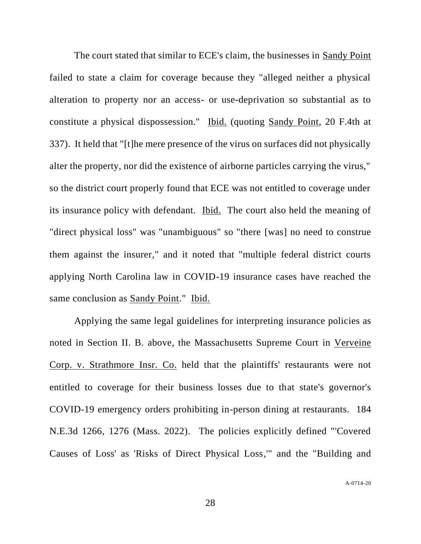The court stated that similar to ECE's claim, the businesses in Sandy Point failed to state a claim for coverage because they "alleged neither a physical alteration to property nor an access- or use-deprivation so substantial as to constitute a physical dispossession." Ibid. (quoting Sandy Point, 20 F.4th at 337). It held that "[t]he mere presence of the virus on surfaces did not physically alter the property, nor did the existence of airborne particles carrying the virus," so the district court properly found that ECE was not entitled to coverage under its insurance policy with defendant. Ibid. The court also held the meaning of "direct physical loss" was "unambiguous" so "there [was] no need to construe them against the insurer," and it noted that "multiple federal district courts applying North Carolina law in COVID-19 insurance cases have reached the same conclusion as Sandy Point." Ibid.

Applying the same legal guidelines for interpreting insurance policies as noted in Section II. B. above, the Massachusetts Supreme Court in Verveine Corp. v. Strathmore Insr. Co. held that the plaintiffs' restaurants were not entitled to coverage for their business losses due to that state's governor's COVID-19 emergency orders prohibiting in-person dining at restaurants. 184 N.E.3d 1266, 1276 (Mass. 2022). The policies explicitly defined "'Covered Causes of Loss' as 'Risks of Direct Physical Loss,'" and the "Building and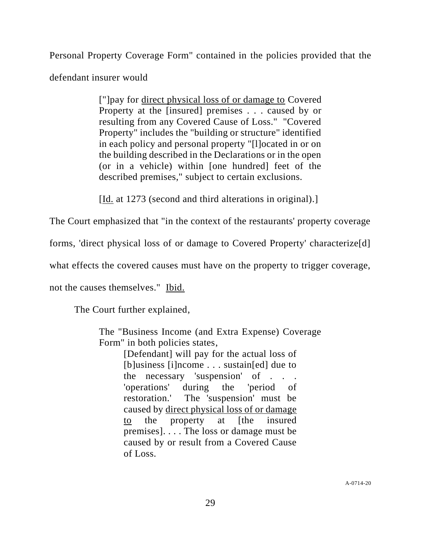Personal Property Coverage Form" contained in the policies provided that the defendant insurer would

> ["]pay for direct physical loss of or damage to Covered Property at the [insured] premises . . . caused by or resulting from any Covered Cause of Loss." "Covered Property" includes the "building or structure" identified in each policy and personal property "[l]ocated in or on the building described in the Declarations or in the open (or in a vehicle) within [one hundred] feet of the described premises," subject to certain exclusions.

[Id. at 1273 (second and third alterations in original).]

The Court emphasized that "in the context of the restaurants' property coverage

forms, 'direct physical loss of or damage to Covered Property' characterize[d]

what effects the covered causes must have on the property to trigger coverage,

not the causes themselves." Ibid.

The Court further explained,

The "Business Income (and Extra Expense) Coverage Form" in both policies states,

[Defendant] will pay for the actual loss of [b]usiness [i]ncome . . . sustain[ed] due to the necessary 'suspension' of . . . 'operations' during the 'period of restoration.' The 'suspension' must be caused by direct physical loss of or damage to the property at [the insured premises]. . . . The loss or damage must be caused by or result from a Covered Cause of Loss.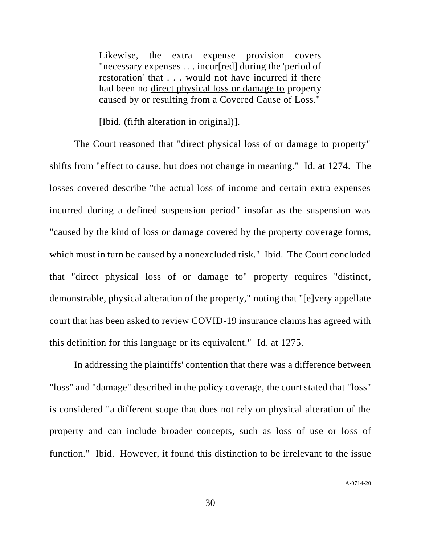Likewise, the extra expense provision covers "necessary expenses . . . incur[red] during the 'period of restoration' that . . . would not have incurred if there had been no direct physical loss or damage to property caused by or resulting from a Covered Cause of Loss."

[Ibid. (fifth alteration in original)].

The Court reasoned that "direct physical loss of or damage to property" shifts from "effect to cause, but does not change in meaning." Id. at 1274. The losses covered describe "the actual loss of income and certain extra expenses incurred during a defined suspension period" insofar as the suspension was "caused by the kind of loss or damage covered by the property coverage forms, which must in turn be caused by a nonexcluded risk." Ibid. The Court concluded that "direct physical loss of or damage to" property requires "distinct, demonstrable, physical alteration of the property," noting that "[e]very appellate court that has been asked to review COVID-19 insurance claims has agreed with this definition for this language or its equivalent."  $\underline{Id}$  at 1275.

In addressing the plaintiffs' contention that there was a difference between "loss" and "damage" described in the policy coverage, the court stated that "loss" is considered "a different scope that does not rely on physical alteration of the property and can include broader concepts, such as loss of use or loss of function." Ibid. However, it found this distinction to be irrelevant to the issue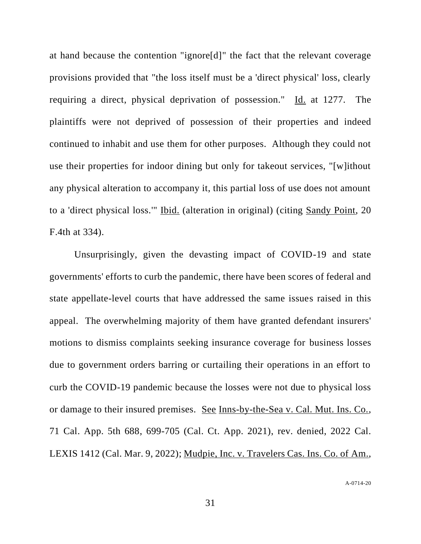at hand because the contention "ignore[d]" the fact that the relevant coverage provisions provided that "the loss itself must be a 'direct physical' loss, clearly requiring a direct, physical deprivation of possession." Id. at 1277. The plaintiffs were not deprived of possession of their properties and indeed continued to inhabit and use them for other purposes. Although they could not use their properties for indoor dining but only for takeout services, "[w]ithout any physical alteration to accompany it, this partial loss of use does not amount to a 'direct physical loss.'" Ibid. (alteration in original) (citing Sandy Point, 20 F.4th at 334).

Unsurprisingly, given the devasting impact of COVID-19 and state governments' efforts to curb the pandemic, there have been scores of federal and state appellate-level courts that have addressed the same issues raised in this appeal. The overwhelming majority of them have granted defendant insurers' motions to dismiss complaints seeking insurance coverage for business losses due to government orders barring or curtailing their operations in an effort to curb the COVID-19 pandemic because the losses were not due to physical loss or damage to their insured premises. See Inns-by-the-Sea v. Cal. Mut. Ins. Co., 71 Cal. App. 5th 688, 699-705 (Cal. Ct. App. 2021), rev. denied, 2022 Cal. LEXIS 1412 (Cal. Mar. 9, 2022); Mudpie, Inc. v. Travelers Cas. Ins. Co. of Am.,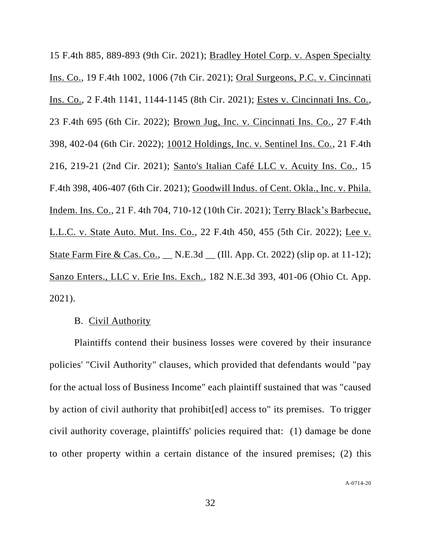15 F.4th 885, 889-893 (9th Cir. 2021); Bradley Hotel Corp. v. Aspen Specialty Ins. Co., 19 F.4th 1002, 1006 (7th Cir. 2021); Oral Surgeons, P.C. v. Cincinnati Ins. Co., 2 F.4th 1141, 1144-1145 (8th Cir. 2021); Estes v. Cincinnati Ins. Co., 23 F.4th 695 (6th Cir. 2022); Brown Jug, Inc. v. Cincinnati Ins. Co., 27 F.4th 398, 402-04 (6th Cir. 2022); 10012 Holdings, Inc. v. Sentinel Ins. Co., 21 F.4th 216, 219-21 (2nd Cir. 2021); Santo's Italian Café LLC v. Acuity Ins. Co., 15 F.4th 398, 406-407 (6th Cir. 2021); Goodwill Indus. of Cent. Okla., Inc. v. Phila. Indem. Ins. Co., 21 F. 4th 704, 710-12 (10th Cir. 2021); Terry Black's Barbecue, L.L.C. v. State Auto. Mut. Ins. Co., 22 F.4th 450, 455 (5th Cir. 2022); Lee v. State Farm Fire & Cas. Co., \_\_ N.E.3d \_\_ (Ill. App. Ct. 2022) (slip op. at 11-12); Sanzo Enters., LLC v. Erie Ins. Exch., 182 N.E.3d 393, 401-06 (Ohio Ct. App. 2021).

## B. Civil Authority

Plaintiffs contend their business losses were covered by their insurance policies' "Civil Authority" clauses, which provided that defendants would "pay for the actual loss of Business Income" each plaintiff sustained that was "caused by action of civil authority that prohibit[ed] access to" its premises. To trigger civil authority coverage, plaintiffs' policies required that: (1) damage be done to other property within a certain distance of the insured premises; (2) this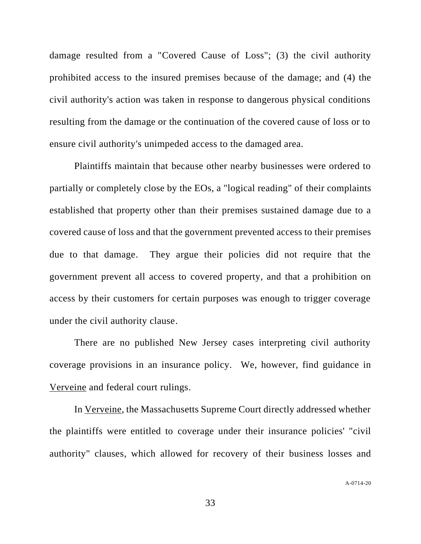damage resulted from a "Covered Cause of Loss"; (3) the civil authority prohibited access to the insured premises because of the damage; and (4) the civil authority's action was taken in response to dangerous physical conditions resulting from the damage or the continuation of the covered cause of loss or to ensure civil authority's unimpeded access to the damaged area.

Plaintiffs maintain that because other nearby businesses were ordered to partially or completely close by the EOs, a "logical reading" of their complaints established that property other than their premises sustained damage due to a covered cause of loss and that the government prevented access to their premises due to that damage. They argue their policies did not require that the government prevent all access to covered property, and that a prohibition on access by their customers for certain purposes was enough to trigger coverage under the civil authority clause.

There are no published New Jersey cases interpreting civil authority coverage provisions in an insurance policy. We, however, find guidance in Verveine and federal court rulings.

In Verveine, the Massachusetts Supreme Court directly addressed whether the plaintiffs were entitled to coverage under their insurance policies' "civil authority" clauses, which allowed for recovery of their business losses and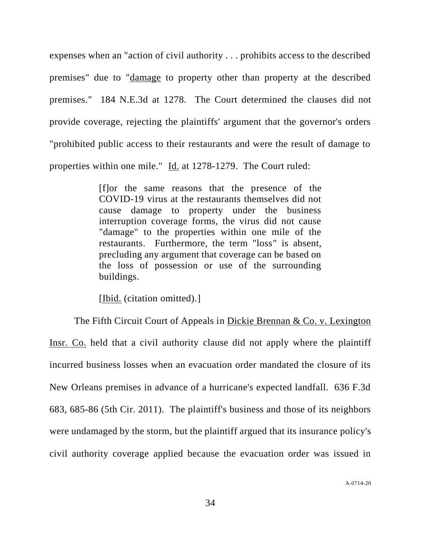expenses when an "action of civil authority . . . prohibits access to the described premises" due to "damage to property other than property at the described premises." 184 N.E.3d at 1278. The Court determined the clauses did not provide coverage, rejecting the plaintiffs' argument that the governor's orders "prohibited public access to their restaurants and were the result of damage to properties within one mile." Id. at 1278-1279. The Court ruled:

> [f]or the same reasons that the presence of the COVID-19 virus at the restaurants themselves did not cause damage to property under the business interruption coverage forms, the virus did not cause "damage" to the properties within one mile of the restaurants. Furthermore, the term "loss" is absent, precluding any argument that coverage can be based on the loss of possession or use of the surrounding buildings.

[Ibid. (citation omitted).]

The Fifth Circuit Court of Appeals in Dickie Brennan & Co. v. Lexington Insr. Co. held that a civil authority clause did not apply where the plaintiff incurred business losses when an evacuation order mandated the closure of its New Orleans premises in advance of a hurricane's expected landfall. 636 F.3d 683, 685-86 (5th Cir. 2011). The plaintiff's business and those of its neighbors were undamaged by the storm, but the plaintiff argued that its insurance policy's civil authority coverage applied because the evacuation order was issued in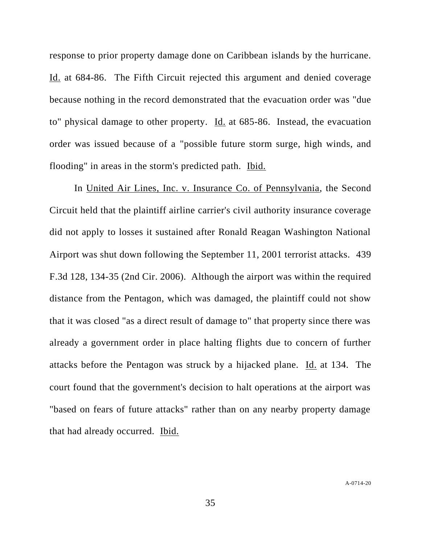response to prior property damage done on Caribbean islands by the hurricane. Id. at 684-86. The Fifth Circuit rejected this argument and denied coverage because nothing in the record demonstrated that the evacuation order was "due to" physical damage to other property. Id. at 685-86. Instead, the evacuation order was issued because of a "possible future storm surge, high winds, and flooding" in areas in the storm's predicted path. Ibid.

In United Air Lines, Inc. v. Insurance Co. of Pennsylvania, the Second Circuit held that the plaintiff airline carrier's civil authority insurance coverage did not apply to losses it sustained after Ronald Reagan Washington National Airport was shut down following the September 11, 2001 terrorist attacks. 439 F.3d 128, 134-35 (2nd Cir. 2006). Although the airport was within the required distance from the Pentagon, which was damaged, the plaintiff could not show that it was closed "as a direct result of damage to" that property since there was already a government order in place halting flights due to concern of further attacks before the Pentagon was struck by a hijacked plane. Id. at 134. The court found that the government's decision to halt operations at the airport was "based on fears of future attacks" rather than on any nearby property damage that had already occurred. Ibid.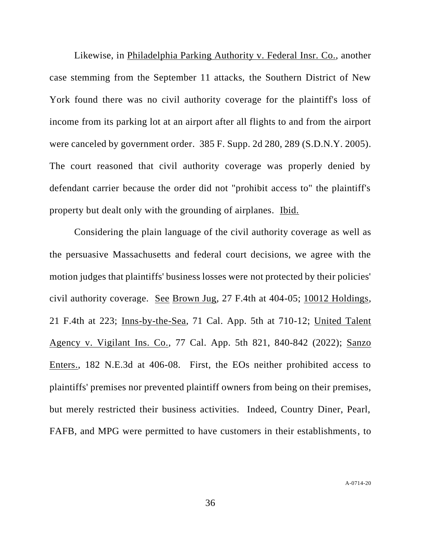Likewise, in Philadelphia Parking Authority v. Federal Insr. Co., another case stemming from the September 11 attacks, the Southern District of New York found there was no civil authority coverage for the plaintiff's loss of income from its parking lot at an airport after all flights to and from the airport were canceled by government order. 385 F. Supp. 2d 280, 289 (S.D.N.Y. 2005). The court reasoned that civil authority coverage was properly denied by defendant carrier because the order did not "prohibit access to" the plaintiff's property but dealt only with the grounding of airplanes. Ibid.

Considering the plain language of the civil authority coverage as well as the persuasive Massachusetts and federal court decisions, we agree with the motion judges that plaintiffs' business losses were not protected by their policies' civil authority coverage. See Brown Jug, 27 F.4th at 404-05; 10012 Holdings, 21 F.4th at 223; Inns-by-the-Sea, 71 Cal. App. 5th at 710-12; United Talent Agency v. Vigilant Ins. Co., 77 Cal. App. 5th 821, 840-842 (2022); Sanzo Enters., 182 N.E.3d at 406-08. First, the EOs neither prohibited access to plaintiffs' premises nor prevented plaintiff owners from being on their premises, but merely restricted their business activities. Indeed, Country Diner, Pearl, FAFB, and MPG were permitted to have customers in their establishments, to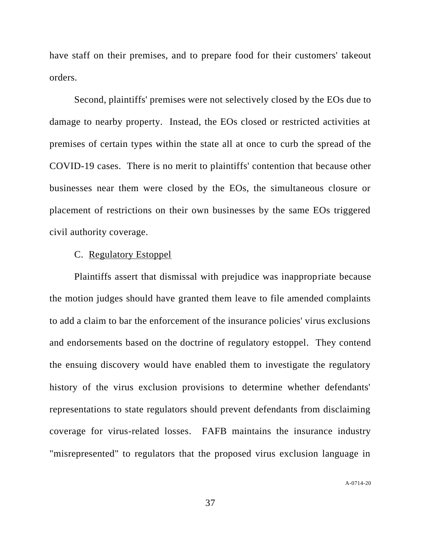have staff on their premises, and to prepare food for their customers' takeout orders.

Second, plaintiffs' premises were not selectively closed by the EOs due to damage to nearby property. Instead, the EOs closed or restricted activities at premises of certain types within the state all at once to curb the spread of the COVID-19 cases. There is no merit to plaintiffs' contention that because other businesses near them were closed by the EOs, the simultaneous closure or placement of restrictions on their own businesses by the same EOs triggered civil authority coverage.

## C. Regulatory Estoppel

Plaintiffs assert that dismissal with prejudice was inappropriate because the motion judges should have granted them leave to file amended complaints to add a claim to bar the enforcement of the insurance policies' virus exclusions and endorsements based on the doctrine of regulatory estoppel. They contend the ensuing discovery would have enabled them to investigate the regulatory history of the virus exclusion provisions to determine whether defendants' representations to state regulators should prevent defendants from disclaiming coverage for virus-related losses. FAFB maintains the insurance industry "misrepresented" to regulators that the proposed virus exclusion language in

A-0714-20

37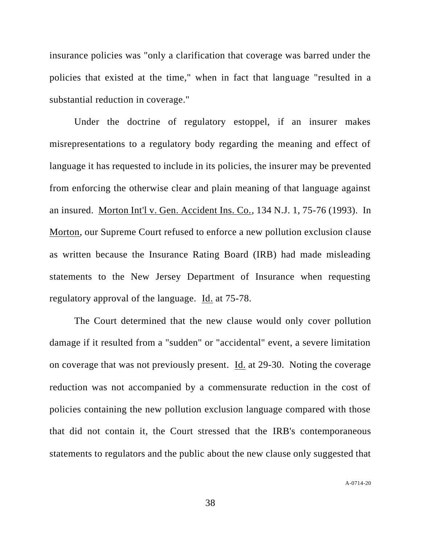insurance policies was "only a clarification that coverage was barred under the policies that existed at the time," when in fact that language "resulted in a substantial reduction in coverage."

Under the doctrine of regulatory estoppel, if an insurer makes misrepresentations to a regulatory body regarding the meaning and effect of language it has requested to include in its policies, the insurer may be prevented from enforcing the otherwise clear and plain meaning of that language against an insured. Morton Int'l v. Gen. Accident Ins. Co., 134 N.J. 1, 75-76 (1993). In Morton, our Supreme Court refused to enforce a new pollution exclusion clause as written because the Insurance Rating Board (IRB) had made misleading statements to the New Jersey Department of Insurance when requesting regulatory approval of the language. Id. at 75-78.

The Court determined that the new clause would only cover pollution damage if it resulted from a "sudden" or "accidental" event, a severe limitation on coverage that was not previously present. Id. at 29-30. Noting the coverage reduction was not accompanied by a commensurate reduction in the cost of policies containing the new pollution exclusion language compared with those that did not contain it, the Court stressed that the IRB's contemporaneous statements to regulators and the public about the new clause only suggested that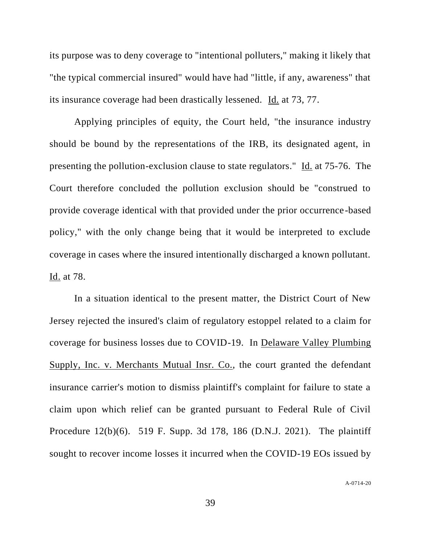its purpose was to deny coverage to "intentional polluters," making it likely that "the typical commercial insured" would have had "little, if any, awareness" that its insurance coverage had been drastically lessened. Id. at 73, 77.

Applying principles of equity, the Court held, "the insurance industry should be bound by the representations of the IRB, its designated agent, in presenting the pollution-exclusion clause to state regulators." Id. at 75-76. The Court therefore concluded the pollution exclusion should be "construed to provide coverage identical with that provided under the prior occurrence-based policy," with the only change being that it would be interpreted to exclude coverage in cases where the insured intentionally discharged a known pollutant. Id. at 78.

In a situation identical to the present matter, the District Court of New Jersey rejected the insured's claim of regulatory estoppel related to a claim for coverage for business losses due to COVID-19. In Delaware Valley Plumbing Supply, Inc. v. Merchants Mutual Insr. Co., the court granted the defendant insurance carrier's motion to dismiss plaintiff's complaint for failure to state a claim upon which relief can be granted pursuant to Federal Rule of Civil Procedure 12(b)(6). 519 F. Supp. 3d 178, 186 (D.N.J. 2021). The plaintiff sought to recover income losses it incurred when the COVID-19 EOs issued by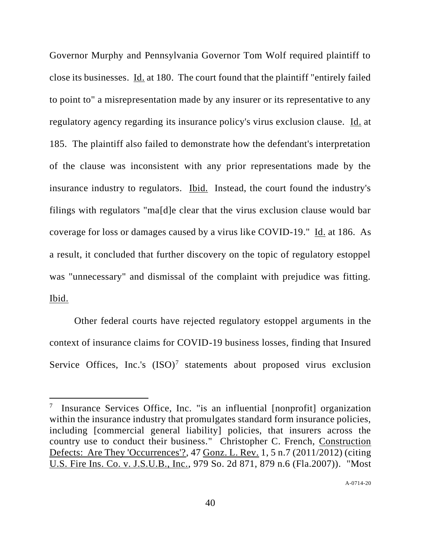Governor Murphy and Pennsylvania Governor Tom Wolf required plaintiff to close its businesses. Id. at 180. The court found that the plaintiff "entirely failed to point to" a misrepresentation made by any insurer or its representative to any regulatory agency regarding its insurance policy's virus exclusion clause. Id. at 185. The plaintiff also failed to demonstrate how the defendant's interpretation of the clause was inconsistent with any prior representations made by the insurance industry to regulators. Ibid. Instead, the court found the industry's filings with regulators "ma[d]e clear that the virus exclusion clause would bar coverage for loss or damages caused by a virus like COVID-19." Id. at 186. As a result, it concluded that further discovery on the topic of regulatory estoppel was "unnecessary" and dismissal of the complaint with prejudice was fitting. Ibid.

Other federal courts have rejected regulatory estoppel arguments in the context of insurance claims for COVID-19 business losses, finding that Insured Service Offices, Inc.'s  $(ISO)^7$  statements about proposed virus exclusion

<sup>7</sup> Insurance Services Office, Inc. "is an influential [nonprofit] organization within the insurance industry that promulgates standard form insurance policies, including [commercial general liability] policies, that insurers across the country use to conduct their business." Christopher C. French, Construction Defects: Are They 'Occurrences'?, 47 Gonz. L. Rev. 1, 5 n.7 (2011/2012) (citing U.S. Fire Ins. Co. v. J.S.U.B., Inc., 979 So. 2d 871, 879 n.6 (Fla.2007)). "Most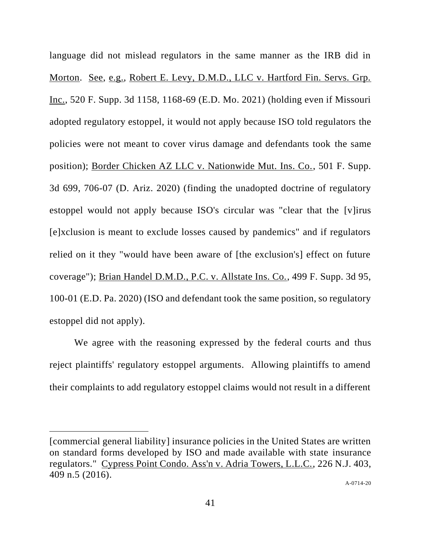language did not mislead regulators in the same manner as the IRB did in Morton. See, e.g., Robert E. Levy, D.M.D., LLC v. Hartford Fin. Servs. Grp. Inc., 520 F. Supp. 3d 1158, 1168-69 (E.D. Mo. 2021) (holding even if Missouri adopted regulatory estoppel, it would not apply because ISO told regulators the policies were not meant to cover virus damage and defendants took the same position); Border Chicken AZ LLC v. Nationwide Mut. Ins. Co., 501 F. Supp. 3d 699, 706-07 (D. Ariz. 2020) (finding the unadopted doctrine of regulatory estoppel would not apply because ISO's circular was "clear that the [v]irus [e]xclusion is meant to exclude losses caused by pandemics" and if regulators relied on it they "would have been aware of [the exclusion's] effect on future coverage"); Brian Handel D.M.D., P.C. v. Allstate Ins. Co., 499 F. Supp. 3d 95, 100-01 (E.D. Pa. 2020) (ISO and defendant took the same position, so regulatory estoppel did not apply).

We agree with the reasoning expressed by the federal courts and thus reject plaintiffs' regulatory estoppel arguments. Allowing plaintiffs to amend their complaints to add regulatory estoppel claims would not result in a different

<sup>[</sup>commercial general liability] insurance policies in the United States are written on standard forms developed by ISO and made available with state insurance regulators." Cypress Point Condo. Ass'n v. Adria Towers, L.L.C., 226 N.J. 403, 409 n.5 (2016).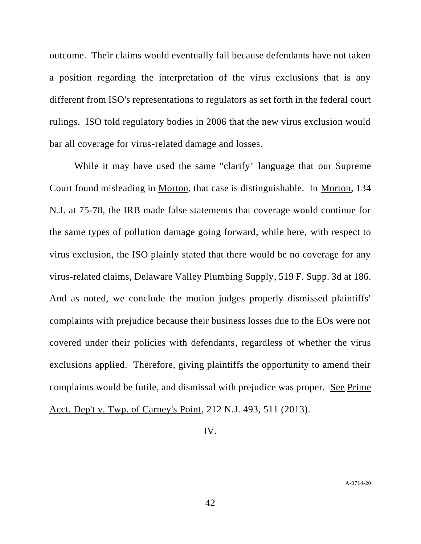outcome. Their claims would eventually fail because defendants have not taken a position regarding the interpretation of the virus exclusions that is any different from ISO's representations to regulators as set forth in the federal court rulings. ISO told regulatory bodies in 2006 that the new virus exclusion would bar all coverage for virus-related damage and losses.

While it may have used the same "clarify" language that our Supreme Court found misleading in Morton, that case is distinguishable. In Morton, 134 N.J. at 75-78, the IRB made false statements that coverage would continue for the same types of pollution damage going forward, while here, with respect to virus exclusion, the ISO plainly stated that there would be no coverage for any virus-related claims, Delaware Valley Plumbing Supply, 519 F. Supp. 3d at 186. And as noted, we conclude the motion judges properly dismissed plaintiffs' complaints with prejudice because their business losses due to the EOs were not covered under their policies with defendants, regardless of whether the virus exclusions applied. Therefore, giving plaintiffs the opportunity to amend their complaints would be futile, and dismissal with prejudice was proper. See Prime Acct. Dep't v. Twp. of Carney's Point, 212 N.J. 493, 511 (2013).

IV.

42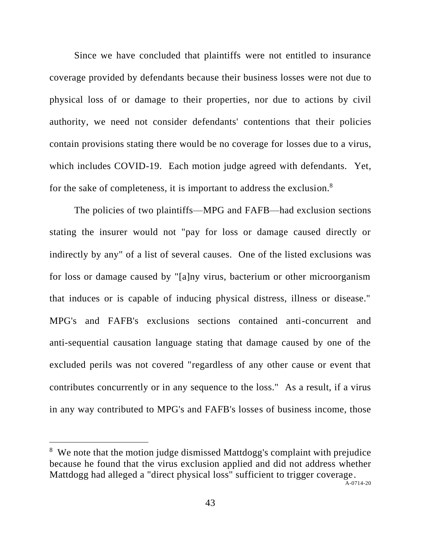Since we have concluded that plaintiffs were not entitled to insurance coverage provided by defendants because their business losses were not due to physical loss of or damage to their properties, nor due to actions by civil authority, we need not consider defendants' contentions that their policies contain provisions stating there would be no coverage for losses due to a virus, which includes COVID-19. Each motion judge agreed with defendants. Yet, for the sake of completeness, it is important to address the exclusion.<sup>8</sup>

The policies of two plaintiffs—MPG and FAFB—had exclusion sections stating the insurer would not "pay for loss or damage caused directly or indirectly by any" of a list of several causes. One of the listed exclusions was for loss or damage caused by "[a]ny virus, bacterium or other microorganism that induces or is capable of inducing physical distress, illness or disease." MPG's and FAFB's exclusions sections contained anti-concurrent and anti-sequential causation language stating that damage caused by one of the excluded perils was not covered "regardless of any other cause or event that contributes concurrently or in any sequence to the loss." As a result, if a virus in any way contributed to MPG's and FAFB's losses of business income, those

<sup>&</sup>lt;sup>8</sup> We note that the motion judge dismissed Mattdogg's complaint with prejudice because he found that the virus exclusion applied and did not address whether Mattdogg had alleged a "direct physical loss" sufficient to trigger coverage.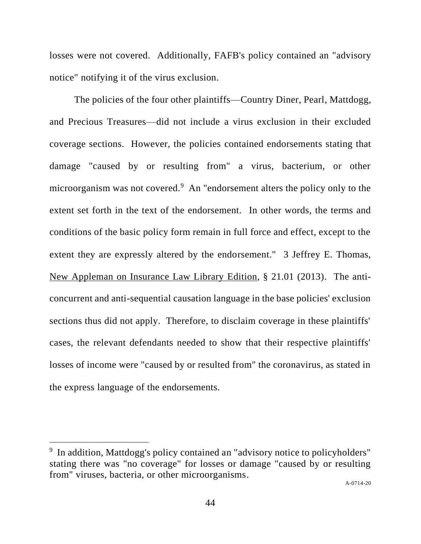losses were not covered. Additionally, FAFB's policy contained an "advisory notice" notifying it of the virus exclusion.

The policies of the four other plaintiffs––Country Diner, Pearl, Mattdogg, and Precious Treasures––did not include a virus exclusion in their excluded coverage sections. However, the policies contained endorsements stating that damage "caused by or resulting from" a virus, bacterium, or other microorganism was not covered.<sup>9</sup> An "endorsement alters the policy only to the extent set forth in the text of the endorsement. In other words, the terms and conditions of the basic policy form remain in full force and effect, except to the extent they are expressly altered by the endorsement." 3 Jeffrey E. Thomas, New Appleman on Insurance Law Library Edition, § 21.01 (2013). The anticoncurrent and anti-sequential causation language in the base policies' exclusion sections thus did not apply. Therefore, to disclaim coverage in these plaintiffs' cases, the relevant defendants needed to show that their respective plaintiffs' losses of income were "caused by or resulted from" the coronavirus, as stated in the express language of the endorsements.

<sup>&</sup>lt;sup>9</sup> In addition, Mattdogg's policy contained an "advisory notice to policyholders" stating there was "no coverage" for losses or damage "caused by or resulting from" viruses, bacteria, or other microorganisms.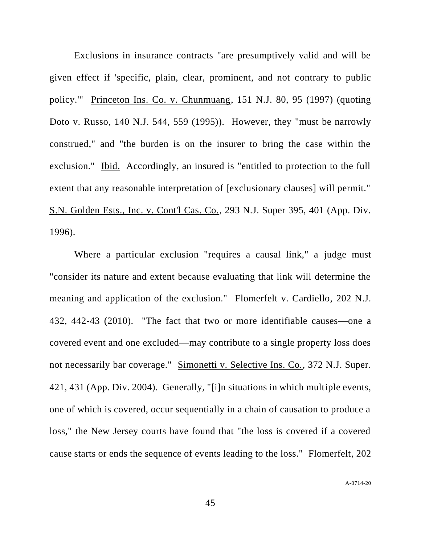Exclusions in insurance contracts "are presumptively valid and will be given effect if 'specific, plain, clear, prominent, and not contrary to public policy.'" Princeton Ins. Co. v. Chunmuang, 151 N.J. 80, 95 (1997) (quoting Doto v. Russo, 140 N.J. 544, 559 (1995)). However, they "must be narrowly construed," and "the burden is on the insurer to bring the case within the exclusion." Ibid. Accordingly, an insured is "entitled to protection to the full extent that any reasonable interpretation of [exclusionary clauses] will permit." S.N. Golden Ests., Inc. v. Cont'l Cas. Co., 293 N.J. Super 395, 401 (App. Div. 1996).

Where a particular exclusion "requires a causal link," a judge must "consider its nature and extent because evaluating that link will determine the meaning and application of the exclusion." Flomerfelt v. Cardiello, 202 N.J. 432, 442-43 (2010). "The fact that two or more identifiable causes—one a covered event and one excluded—may contribute to a single property loss does not necessarily bar coverage." Simonetti v. Selective Ins. Co., 372 N.J. Super. 421, 431 (App. Div. 2004). Generally, "[i]n situations in which multiple events, one of which is covered, occur sequentially in a chain of causation to produce a loss," the New Jersey courts have found that "the loss is covered if a covered cause starts or ends the sequence of events leading to the loss." Flomerfelt, 202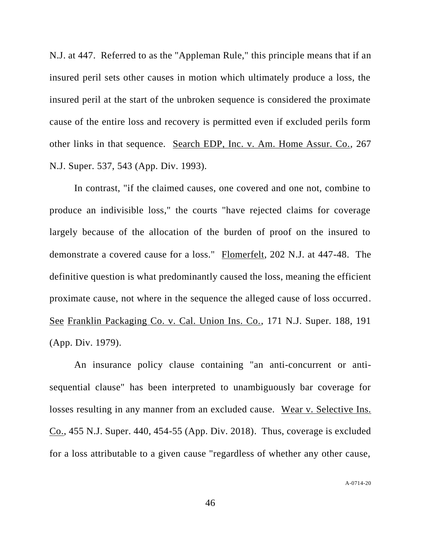N.J. at 447. Referred to as the "Appleman Rule," this principle means that if an insured peril sets other causes in motion which ultimately produce a loss, the insured peril at the start of the unbroken sequence is considered the proximate cause of the entire loss and recovery is permitted even if excluded perils form other links in that sequence. Search EDP, Inc. v. Am. Home Assur. Co., 267 N.J. Super. 537, 543 (App. Div. 1993).

In contrast, "if the claimed causes, one covered and one not, combine to produce an indivisible loss," the courts "have rejected claims for coverage largely because of the allocation of the burden of proof on the insured to demonstrate a covered cause for a loss." Flomerfelt, 202 N.J. at 447-48. The definitive question is what predominantly caused the loss, meaning the efficient proximate cause, not where in the sequence the alleged cause of loss occurred. See Franklin Packaging Co. v. Cal. Union Ins. Co., 171 N.J. Super. 188, 191 (App. Div. 1979).

An insurance policy clause containing "an anti-concurrent or antisequential clause" has been interpreted to unambiguously bar coverage for losses resulting in any manner from an excluded cause. Wear v. Selective Ins. Co., 455 N.J. Super. 440, 454-55 (App. Div. 2018). Thus, coverage is excluded for a loss attributable to a given cause "regardless of whether any other cause,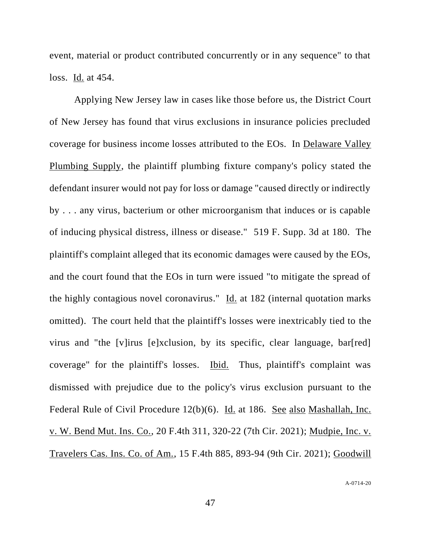event, material or product contributed concurrently or in any sequence" to that loss. Id. at 454.

Applying New Jersey law in cases like those before us, the District Court of New Jersey has found that virus exclusions in insurance policies precluded coverage for business income losses attributed to the EOs. In Delaware Valley Plumbing Supply, the plaintiff plumbing fixture company's policy stated the defendant insurer would not pay for loss or damage "caused directly or indirectly by . . . any virus, bacterium or other microorganism that induces or is capable of inducing physical distress, illness or disease." 519 F. Supp. 3d at 180. The plaintiff's complaint alleged that its economic damages were caused by the EOs, and the court found that the EOs in turn were issued "to mitigate the spread of the highly contagious novel coronavirus." Id. at 182 (internal quotation marks omitted). The court held that the plaintiff's losses were inextricably tied to the virus and "the [v]irus [e]xclusion, by its specific, clear language, bar[red] coverage" for the plaintiff's losses. Ibid. Thus, plaintiff's complaint was dismissed with prejudice due to the policy's virus exclusion pursuant to the Federal Rule of Civil Procedure 12(b)(6). Id. at 186. See also Mashallah, Inc. v. W. Bend Mut. Ins. Co., 20 F.4th 311, 320-22 (7th Cir. 2021); Mudpie, Inc. v. Travelers Cas. Ins. Co. of Am., 15 F.4th 885, 893-94 (9th Cir. 2021); Goodwill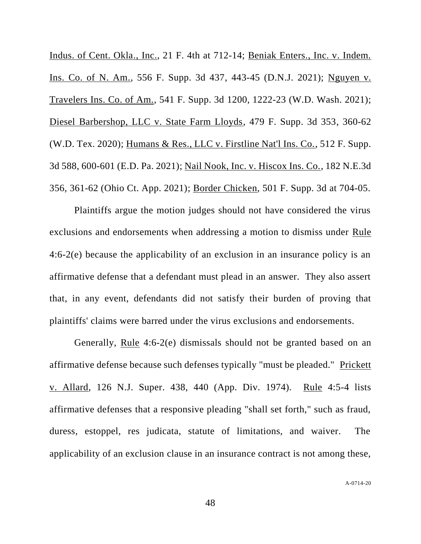Indus. of Cent. Okla., Inc., 21 F. 4th at 712-14; Beniak Enters., Inc. v. Indem. Ins. Co. of N. Am., 556 F. Supp. 3d 437, 443-45 (D.N.J. 2021); Nguyen v. Travelers Ins. Co. of Am., 541 F. Supp. 3d 1200, 1222-23 (W.D. Wash. 2021); Diesel Barbershop, LLC v. State Farm Lloyds, 479 F. Supp. 3d 353, 360-62 (W.D. Tex. 2020); Humans & Res., LLC v. Firstline Nat'l Ins. Co., 512 F. Supp. 3d 588, 600-601 (E.D. Pa. 2021); Nail Nook, Inc. v. Hiscox Ins. Co., 182 N.E.3d 356, 361-62 (Ohio Ct. App. 2021); Border Chicken, 501 F. Supp. 3d at 704-05.

Plaintiffs argue the motion judges should not have considered the virus exclusions and endorsements when addressing a motion to dismiss under Rule 4:6-2(e) because the applicability of an exclusion in an insurance policy is an affirmative defense that a defendant must plead in an answer. They also assert that, in any event, defendants did not satisfy their burden of proving that plaintiffs' claims were barred under the virus exclusions and endorsements.

Generally, Rule 4:6-2(e) dismissals should not be granted based on an affirmative defense because such defenses typically "must be pleaded." Prickett v. Allard, 126 N.J. Super. 438, 440 (App. Div. 1974). Rule 4:5-4 lists affirmative defenses that a responsive pleading "shall set forth," such as fraud, duress, estoppel, res judicata, statute of limitations, and waiver. The applicability of an exclusion clause in an insurance contract is not among these,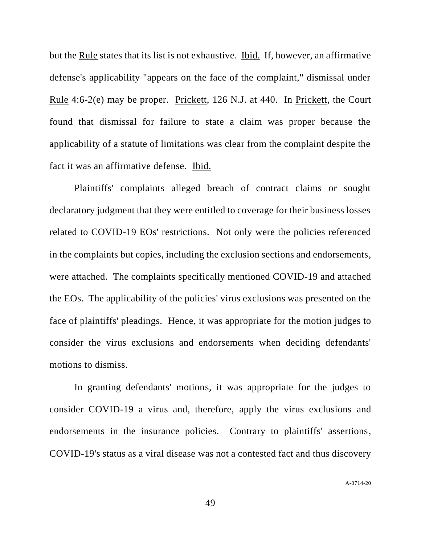but the Rule states that its list is not exhaustive. Ibid. If, however, an affirmative defense's applicability "appears on the face of the complaint," dismissal under Rule 4:6-2(e) may be proper. Prickett, 126 N.J. at 440. In Prickett, the Court found that dismissal for failure to state a claim was proper because the applicability of a statute of limitations was clear from the complaint despite the fact it was an affirmative defense. Ibid.

Plaintiffs' complaints alleged breach of contract claims or sought declaratory judgment that they were entitled to coverage for their business losses related to COVID-19 EOs' restrictions. Not only were the policies referenced in the complaints but copies, including the exclusion sections and endorsements, were attached. The complaints specifically mentioned COVID-19 and attached the EOs. The applicability of the policies' virus exclusions was presented on the face of plaintiffs' pleadings. Hence, it was appropriate for the motion judges to consider the virus exclusions and endorsements when deciding defendants' motions to dismiss.

In granting defendants' motions, it was appropriate for the judges to consider COVID-19 a virus and, therefore, apply the virus exclusions and endorsements in the insurance policies. Contrary to plaintiffs' assertions, COVID-19's status as a viral disease was not a contested fact and thus discovery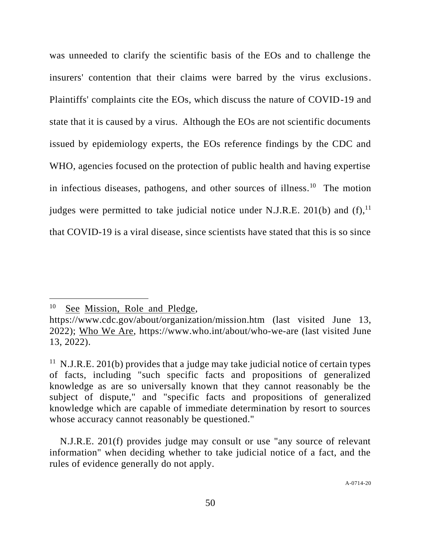was unneeded to clarify the scientific basis of the EOs and to challenge the insurers' contention that their claims were barred by the virus exclusions. Plaintiffs' complaints cite the EOs, which discuss the nature of COVID-19 and state that it is caused by a virus. Although the EOs are not scientific documents issued by epidemiology experts, the EOs reference findings by the CDC and WHO, agencies focused on the protection of public health and having expertise in infectious diseases, pathogens, and other sources of illness.<sup>10</sup> The motion judges were permitted to take judicial notice under N.J.R.E. 201(b) and  $(f)$ ,<sup>11</sup> that COVID-19 is a viral disease, since scientists have stated that this is so since

<sup>&</sup>lt;sup>10</sup> See Mission, Role and Pledge,

https://www.cdc.gov/about/organization/mission.htm (last visited June 13, 2022); Who We Are, https://www.who.int/about/who-we-are (last visited June 13, 2022).

<sup>&</sup>lt;sup>11</sup> N.J.R.E. 201(b) provides that a judge may take judicial notice of certain types of facts, including "such specific facts and propositions of generalized knowledge as are so universally known that they cannot reasonably be the subject of dispute," and "specific facts and propositions of generalized knowledge which are capable of immediate determination by resort to sources whose accuracy cannot reasonably be questioned."

N.J.R.E. 201(f) provides judge may consult or use "any source of relevant information" when deciding whether to take judicial notice of a fact, and the rules of evidence generally do not apply.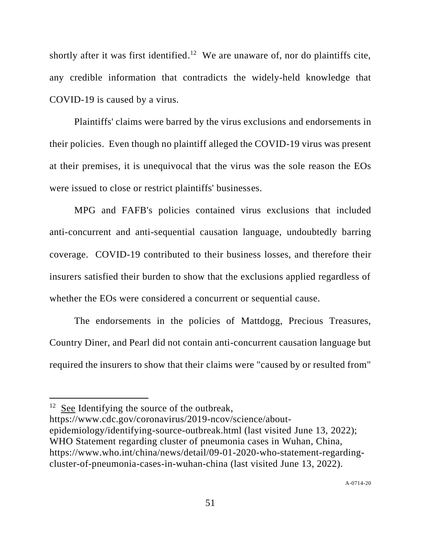shortly after it was first identified.<sup>12</sup> We are unaware of, nor do plaintiffs cite, any credible information that contradicts the widely-held knowledge that COVID-19 is caused by a virus.

Plaintiffs' claims were barred by the virus exclusions and endorsements in their policies. Even though no plaintiff alleged the COVID-19 virus was present at their premises, it is unequivocal that the virus was the sole reason the EOs were issued to close or restrict plaintiffs' businesses.

MPG and FAFB's policies contained virus exclusions that included anti-concurrent and anti-sequential causation language, undoubtedly barring coverage. COVID-19 contributed to their business losses, and therefore their insurers satisfied their burden to show that the exclusions applied regardless of whether the EOs were considered a concurrent or sequential cause.

The endorsements in the policies of Mattdogg, Precious Treasures, Country Diner, and Pearl did not contain anti-concurrent causation language but required the insurers to show that their claims were "caused by or resulted from"

<sup>&</sup>lt;sup>12</sup> See Identifying the source of the outbreak,

https://www.cdc.gov/coronavirus/2019-ncov/science/aboutepidemiology/identifying-source-outbreak.html (last visited June 13, 2022); WHO Statement regarding cluster of pneumonia cases in Wuhan, China, https://www.who.int/china/news/detail/09-01-2020-who-statement-regardingcluster-of-pneumonia-cases-in-wuhan-china (last visited June 13, 2022).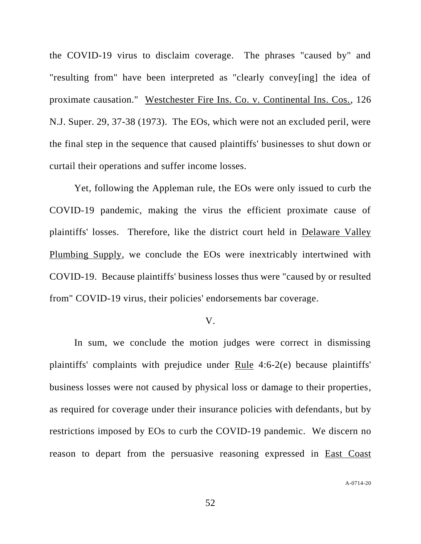the COVID-19 virus to disclaim coverage. The phrases "caused by" and "resulting from" have been interpreted as "clearly convey[ing] the idea of proximate causation." Westchester Fire Ins. Co. v. Continental Ins. Cos., 126 N.J. Super. 29, 37-38 (1973). The EOs, which were not an excluded peril, were the final step in the sequence that caused plaintiffs' businesses to shut down or curtail their operations and suffer income losses.

Yet, following the Appleman rule, the EOs were only issued to curb the COVID-19 pandemic, making the virus the efficient proximate cause of plaintiffs' losses. Therefore, like the district court held in Delaware Valley Plumbing Supply, we conclude the EOs were inextricably intertwined with COVID-19. Because plaintiffs' business losses thus were "caused by or resulted from" COVID-19 virus, their policies' endorsements bar coverage.

### V.

In sum, we conclude the motion judges were correct in dismissing plaintiffs' complaints with prejudice under Rule 4:6-2(e) because plaintiffs' business losses were not caused by physical loss or damage to their properties, as required for coverage under their insurance policies with defendants, but by restrictions imposed by EOs to curb the COVID-19 pandemic. We discern no reason to depart from the persuasive reasoning expressed in East Coast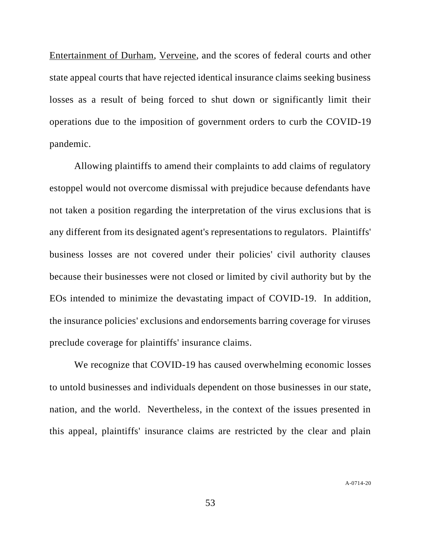Entertainment of Durham, Verveine, and the scores of federal courts and other state appeal courts that have rejected identical insurance claims seeking business losses as a result of being forced to shut down or significantly limit their operations due to the imposition of government orders to curb the COVID-19 pandemic.

Allowing plaintiffs to amend their complaints to add claims of regulatory estoppel would not overcome dismissal with prejudice because defendants have not taken a position regarding the interpretation of the virus exclusions that is any different from its designated agent's representations to regulators. Plaintiffs' business losses are not covered under their policies' civil authority clauses because their businesses were not closed or limited by civil authority but by the EOs intended to minimize the devastating impact of COVID-19. In addition, the insurance policies' exclusions and endorsements barring coverage for viruses preclude coverage for plaintiffs' insurance claims.

We recognize that COVID-19 has caused overwhelming economic losses to untold businesses and individuals dependent on those businesses in our state, nation, and the world. Nevertheless, in the context of the issues presented in this appeal, plaintiffs' insurance claims are restricted by the clear and plain